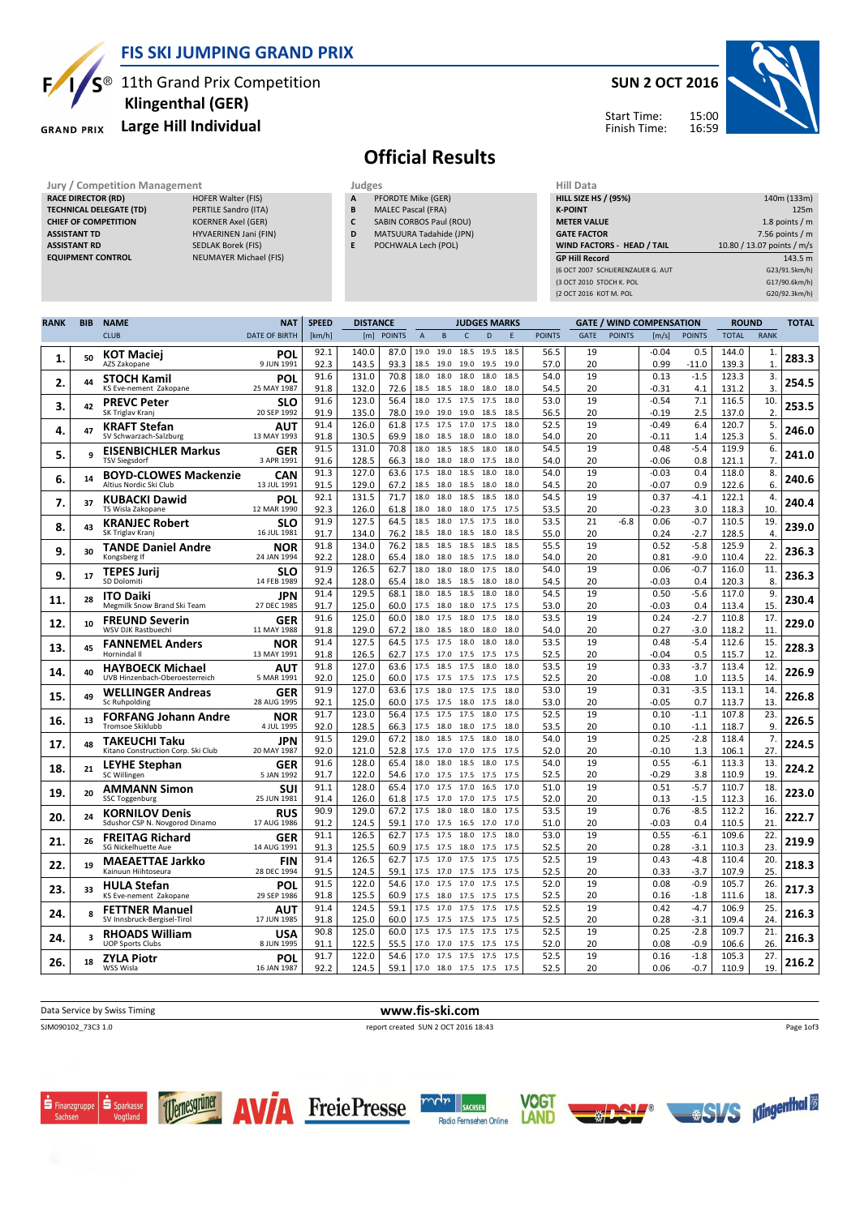

### FIS SKI JUMPING GRAND PRIX

 $S^{\circledast}$  11th Grand Prix Competition

### Large Hill Individual



# Klingenthal (GER)

## SUN 2 OCT 2016





## Official Results

- PFORDTE Mike (GER) B MALEC Pascal (FRA)
- C SABIN CORBOS Paul (ROU)
- D MATSUURA Tadahide (JPN)
- E POCHWALA Lech (POL)

| <b>Jury / Competition Management</b> |                           | Judges |                           | <b>Hill Data</b>                  |                            |  |  |  |
|--------------------------------------|---------------------------|--------|---------------------------|-----------------------------------|----------------------------|--|--|--|
| <b>RACE DIRECTOR (RD)</b>            | <b>HOFER Walter (FIS)</b> | A      | PFORDTE Mike (GER)        | <b>HILL SIZE HS / (95%)</b>       | 140m (133m)                |  |  |  |
| <b>TECHNICAL DELEGATE (TD)</b>       | PERTILE Sandro (ITA)      | B      | <b>MALEC Pascal (FRA)</b> | <b>K-POINT</b>                    | 125m                       |  |  |  |
| <b>CHIEF OF COMPETITION</b>          | <b>KOERNER Axel (GER)</b> | C      | SABIN CORBOS Paul (ROU)   | <b>METER VALUE</b>                | 1.8 points $/m$            |  |  |  |
| <b>ASSISTANT TD</b>                  | HYVAERINEN Jani (FIN)     | D      | MATSUURA Tadahide (JPN)   | <b>GATE FACTOR</b>                | 7.56 points $/m$           |  |  |  |
| <b>ASSISTANT RD</b>                  | SEDLAK Borek (FIS)        | E.     | POCHWALA Lech (POL)       | WIND FACTORS - HEAD / TAIL        | 10.80 / 13.07 points / m/s |  |  |  |
| <b>EQUIPMENT CONTROL</b>             | NEUMAYER Michael (FIS)    |        |                           | <b>GP Hill Record</b>             | 143.5 m                    |  |  |  |
|                                      |                           |        |                           | (6 OCT 2007 SCHLIERENZAUER G. AUT | G23/91.5km/h)              |  |  |  |
|                                      |                           |        |                           | (3 OCT 2010 STOCH K, POL          | G17/90.6km/h)              |  |  |  |
|                                      |                           |        |                           | (2 OCT 2016 KOT M. POL            | G20/92.3km/h)              |  |  |  |

| <b>RANK</b> | <b>BIB</b> | <b>NAME</b>                                               | <b>NAT</b>                | <b>SPEED</b> | <b>DISTANCE</b> |              |                |                                            |              | <b>JUDGES MARKS</b> |              |               |             |               | <b>GATE / WIND COMPENSATION</b> |                  | <b>ROUND</b>   |                      | <b>TOTAL</b> |
|-------------|------------|-----------------------------------------------------------|---------------------------|--------------|-----------------|--------------|----------------|--------------------------------------------|--------------|---------------------|--------------|---------------|-------------|---------------|---------------------------------|------------------|----------------|----------------------|--------------|
|             |            | <b>CLUB</b>                                               | <b>DATE OF BIRTH</b>      | [km/h]       |                 | [m] POINTS   | $\overline{A}$ | B                                          | $\mathsf{C}$ | D                   | E            | <b>POINTS</b> | <b>GATE</b> | <b>POINTS</b> | [m/s]                           | <b>POINTS</b>    | <b>TOTAL</b>   | <b>RANK</b>          |              |
| 1.          | 50         | <b>KOT Maciej</b><br>AZS Zakopane                         | POL<br>9 JUN 1991         | 92.1<br>92.3 | 140.0<br>143.5  | 87.0<br>93.3 |                | 19.0 19.0<br>18.5 19.0                     | 18.5<br>19.0 | 19.5<br>19.5        | 18.5<br>19.0 | 56.5<br>57.0  | 19<br>20    |               | $-0.04$<br>0.99                 | 0.5<br>$-11.0$   | 144.0<br>139.3 | $\mathbf{1}$<br>1.   | 283.3        |
| 2.          | 44         | <b>STOCH Kamil</b><br>KS Eve-nement Zakopane              | POL<br>25 MAY 1987        | 91.6<br>91.8 | 131.0<br>132.0  | 70.8<br>72.6 | 18.0           | 18.0<br>18.5 18.5                          | 18.0<br>18.0 | 18.0<br>18.0        | 18.5<br>18.0 | 54.0<br>54.5  | 19<br>20    |               | 0.13<br>$-0.31$                 | $-1.5$<br>4.1    | 123.3<br>131.2 | 3.<br>3.             | 254.5        |
| 3.          | 42         | <b>PREVC Peter</b><br>SK Triglav Kranj                    | SLO<br>20 SEP 1992        | 91.6<br>91.9 | 123.0<br>135.0  | 56.4<br>78.0 |                | 18.0 17.5 17.5<br>19.0 19.0                | 19.0         | 17.5<br>18.5        | 18.0<br>18.5 | 53.0<br>56.5  | 19<br>20    |               | $-0.54$<br>$-0.19$              | 7.1<br>2.5       | 116.5<br>137.0 | 10.<br>2.            | 253.5        |
| 4.          | 47         | <b>KRAFT Stefan</b>                                       | AUT<br>13 MAY 1993        | 91.4         | 126.0           | 61.8<br>69.9 | 17.5           | 17.5                                       | 17.0         | 17.5                | 18.0<br>18.0 | 52.5          | 19          |               | $-0.49$                         | 6.4              | 120.7          | 5.                   | 246.0        |
| 5.          | q          | SV Schwarzach-Salzburg<br><b>EISENBICHLER Markus</b>      | <b>GER</b>                | 91.8<br>91.5 | 130.5<br>131.0  | 70.8         |                | 18.0 18.5<br>18.0 18.5 18.5                | 18.0 18.0    | 18.0                | 18.0         | 54.0<br>54.5  | 20<br>19    |               | $-0.11$<br>0.48                 | 1.4<br>$-5.4$    | 125.3<br>119.9 | 5.<br>6.             | 241.0        |
| 6.          | 14         | <b>TSV Siegsdorf</b><br><b>BOYD-CLOWES Mackenzie</b>      | 3 APR 1991<br>CAN         | 91.6<br>91.3 | 128.5<br>127.0  | 66.3<br>63.6 | 17.5           | 18.0 18.0 18.0 17.5<br>18.0                | 18.5         | 18.0                | 18.0<br>18.0 | 54.0<br>54.0  | 20<br>19    |               | $-0.06$<br>$-0.03$              | 0.8<br>0.4       | 121.1<br>118.0 | $\overline{7}$<br>8. | 240.6        |
| 7.          | 37         | Altius Nordic Ski Club<br><b>KUBACKI Dawid</b>            | 13 JUL 1991<br>POL        | 91.5<br>92.1 | 129.0<br>131.5  | 67.2<br>71.7 | 18.5           | 18.0<br>18.0 18.0                          | 18.5<br>18.5 | 18.0<br>18.5        | 18.0<br>18.0 | 54.5<br>54.5  | 20<br>19    |               | $-0.07$<br>0.37                 | 0.9<br>$-4.1$    | 122.6<br>122.1 | 6.<br>4.             | 240.4        |
|             |            | TS Wisla Zakopane<br><b>KRANJEC Robert</b>                | 12 MAR 1990<br>SLO        | 92.3<br>91.9 | 126.0<br>127.5  | 61.8<br>64.5 | 18.0<br>18.5   | 18.0<br>18.0                               | 18.0<br>17.5 | 17.5<br>17.5        | 17.5<br>18.0 | 53.5<br>53.5  | 20<br>21    | $-6.8$        | $-0.23$<br>0.06                 | 3.0<br>$-0.7$    | 118.3<br>110.5 | 10<br>19             |              |
| 8.          | 43         | SK Triglav Kranj<br><b>TANDE Daniel Andre</b>             | 16 JUL 1981<br>NOR        | 91.7<br>91.8 | 134.0<br>134.0  | 76.2<br>76.2 | 18.5           | 18.0<br>18.5 18.5 18.5                     | 18.5         | 18.0<br>18.5        | 18.5<br>18.5 | 55.0<br>55.5  | 20<br>19    |               | 0.24<br>0.52                    | $-2.7$<br>$-5.8$ | 128.5<br>125.9 | 4.<br>2.             | 239.0        |
| 9.          | 30         | Kongsberg If                                              | 24 JAN 1994               | 92.2<br>91.9 | 128.0<br>126.5  | 65.4<br>62.7 | 18.0<br>18.0   | 18.0<br>18.0                               | 18.5<br>18.0 | 17.5<br>17.5        | 18.0<br>18.0 | 54.0<br>54.0  | 20<br>19    |               | 0.81<br>0.06                    | $-9.0$<br>$-0.7$ | 110.4<br>116.0 | 22<br>11.            | 236.3        |
| 9.          | 17         | <b>TEPES Jurii</b><br>SD Dolomiti                         | SLO<br>14 FEB 1989        | 92.4         | 128.0           | 65.4         | 18.0           | 18.5                                       | 18.5         | 18.0                | 18.0         | 54.5          | 20          |               | $-0.03$                         | 0.4              | 120.3          | 8.                   | 236.3        |
| 11.         | 28         | <b>ITO Daiki</b><br>Megmilk Snow Brand Ski Team           | JPN<br>27 DEC 1985        | 91.4<br>91.7 | 129.5<br>125.0  | 68.1<br>60.0 | 17.5           | 18.0 18.5 18.5<br>18.0                     | 18.0         | 18.0<br>17.5        | 18.0<br>17.5 | 54.5<br>53.0  | 19<br>20    |               | 0.50<br>$-0.03$                 | $-5.6$<br>0.4    | 117.0<br>113.4 | 9.<br>15             | 230.4        |
| 12.         | 10         | <b>FREUND Severin</b><br>WSV DJK Rastbuechl               | GER<br>11 MAY 1988        | 91.6<br>91.8 | 125.0<br>129.0  | 60.0<br>67.2 | 18.0<br>18.0   | 17.5<br>18.5                               | 18.0<br>18.0 | 17.5<br>18.0        | 18.0<br>18.0 | 53.5<br>54.0  | 19<br>20    |               | 0.24<br>0.27                    | $-2.7$<br>$-3.0$ | 110.8<br>118.2 | 17.<br>11            | 229.0        |
| 13.         | 45         | <b>FANNEMEL Anders</b><br>Hornindal II                    | <b>NOR</b><br>13 MAY 1991 | 91.4<br>91.8 | 127.5<br>126.5  | 64.5<br>62.7 |                | 17.5 17.5<br>17.5 17.0 17.5 17.5           | 18.0         | 18.0                | 18.0<br>17.5 | 53.5<br>52.5  | 19<br>20    |               | 0.48<br>$-0.04$                 | $-5.4$<br>0.5    | 112.6<br>115.7 | 15<br>12             | 228.3        |
| 14.         | 40         | <b>HAYBOECK Michael</b><br>UVB Hinzenbach-Oberoesterreich | <b>AUT</b><br>5 MAR 1991  | 91.8<br>92.0 | 127.0<br>125.0  | 63.6<br>60.0 | 17.5<br>17.5   | 18.5<br>17.5                               | 17.5<br>17.5 | 18.0<br>17.5        | 18.0<br>17.5 | 53.5<br>52.5  | 19<br>20    |               | 0.33<br>$-0.08$                 | $-3.7$<br>1.0    | 113.4<br>113.5 | 12.<br>14            | 226.9        |
| 15.         | 49         | <b>WELLINGER Andreas</b><br>Sc Ruhpolding                 | <b>GER</b><br>28 AUG 1995 | 91.9<br>92.1 | 127.0<br>125.0  | 63.6<br>60.0 | 17.5           | 18.0<br>17.5 17.5                          | 17.5<br>18.0 | 17.5<br>17.5        | 18.0<br>18.0 | 53.0<br>53.0  | 19<br>20    |               | 0.31<br>$-0.05$                 | $-3.5$<br>0.7    | 113.1<br>113.7 | 14.<br>13.           | 226.8        |
| 16.         | 13         | <b>FORFANG Johann Andre</b><br><b>Tromsoe Skiklubb</b>    | <b>NOR</b><br>4 JUL 1995  | 91.7<br>92.0 | 123.0<br>128.5  | 56.4<br>66.3 | 17.5           | 17.5 17.5<br>18.0                          | 17.5<br>18.0 | 18.0<br>17.5        | 17.5<br>18.0 | 52.5<br>53.5  | 19<br>20    |               | 0.10<br>0.10                    | $-1.1$<br>$-1.1$ | 107.8<br>118.7 | 23<br>9              | 226.5        |
| 17.         | 48         | TAKEUCHI Taku<br>Kitano Construction Corp. Ski Club       | <b>JPN</b><br>20 MAY 1987 | 91.5<br>92.0 | 129.0<br>121.0  | 67.2<br>52.8 | 18.0           | 18.5<br>17.5 17.0 17.0 17.5                | 17.5         | 18.0                | 18.0<br>17.5 | 54.0<br>52.0  | 19<br>20    |               | 0.25<br>$-0.10$                 | $-2.8$<br>1.3    | 118.4<br>106.1 | 7.<br>27             | 224.5        |
| 18.         | 21         | LEYHE Stephan                                             | <b>GER</b>                | 91.6         | 128.0           | 65.4         | 18.0           | 18.0                                       | 18.5         | 18.0                | 17.5         | 54.0          | 19          |               | 0.55                            | $-6.1$           | 113.3          | 13.                  | 224.2        |
| 19.         | 20         | SC Willingen<br><b>AMMANN Simon</b>                       | 5 JAN 1992<br>SUI         | 91.7<br>91.1 | 122.0<br>128.0  | 54.6<br>65.4 | 17.0           | 17.0 17.5<br>17.5                          | 17.5<br>17.0 | 17.5<br>16.5        | 17.5<br>17.0 | 52.5<br>51.0  | 20<br>19    |               | $-0.29$<br>0.51                 | 3.8<br>$-5.7$    | 110.9<br>110.7 | 19<br>18.            | 223.0        |
| 20.         | 24         | SSC Toggenburg<br><b>KORNILOV Denis</b>                   | 25 JUN 1981<br><b>RUS</b> | 91.4<br>90.9 | 126.0<br>129.0  | 61.8<br>67.2 | 17.5           | 17.0<br>17.5 18.0                          | 17.0<br>18.0 | 17.5<br>18.0        | 17.5<br>17.5 | 52.0<br>53.5  | 20<br>19    |               | 0.13<br>0.76                    | $-1.5$<br>$-8.5$ | 112.3<br>112.2 | 16<br>16.            | 222.7        |
| 21.         | 26         | Sdushor CSP N. Novgorod Dinamo<br><b>FREITAG Richard</b>  | 17 AUG 1986<br><b>GER</b> | 91.2<br>91.1 | 124.5<br>126.5  | 59.1<br>62.7 | 17.0<br>17.5   | 17.5<br>17.5                               | 16.5<br>18.0 | 17.0<br>17.5        | 17.0<br>18.0 | 51.0<br>53.0  | 20<br>19    |               | $-0.03$<br>0.55                 | 0.4<br>$-6.1$    | 110.5<br>109.6 | 21<br>22.            | 219.9        |
|             |            | <b>SG Nickelhuette Aue</b><br><b>MAEAETTAE Jarkko</b>     | 14 AUG 1991<br><b>FIN</b> | 91.3<br>91.4 | 125.5<br>126.5  | 60.9<br>62.7 | 17.5           | 17.5 17.5<br>17.0                          | 18.0<br>17.5 | 17.5<br>17.5        | 17.5<br>17.5 | 52.5<br>52.5  | 20<br>19    |               | 0.28<br>0.43                    | $-3.1$<br>$-4.8$ | 110.3<br>110.4 | 23<br>20.            |              |
| 22.         | 19         | Kainuun Hiihtoseura<br><b>HULA Stefan</b>                 | 28 DEC 1994<br>POL        | 91.5<br>91.5 | 124.5<br>122.0  | 59.1<br>54.6 | 17.0           | 17.5 17.0<br>17.5                          | 17.5<br>17.0 | 17.5<br>17.5        | 17.5<br>17.5 | 52.5<br>52.0  | 20<br>19    |               | 0.33<br>0.08                    | $-3.7$<br>$-0.9$ | 107.9<br>105.7 | 25<br>26             | 218.3        |
| 23.         | 33         | KS Eve-nement Zakopane                                    | 29 SEP 1986               | 91.8<br>91.4 | 125.5<br>124.5  | 60.9<br>59.1 |                | 17.5 18.0<br>17.5 17.0 17.5 17.5           | 17.5         | 17.5                | 17.5<br>17.5 | 52.5<br>52.5  | 20<br>19    |               | 0.16<br>0.42                    | $-1.8$<br>$-4.7$ | 111.6<br>106.9 | 18<br>25             | 217.3        |
| 24.         | 8          | <b>FETTNER Manuel</b><br>SV Innsbruck-Bergisel-Tirol      | AUT<br>17 JUN 1985        | 91.8         | 125.0           | 60.0         | 17.5 17.5      |                                            | 17.5         | 17.5                | 17.5         | 52.5          | 20          |               | 0.28                            | $-3.1$           | 109.4          | 24                   | 216.3        |
| 24.         | 3          | <b>RHOADS William</b><br><b>UOP Sports Clubs</b>          | <b>USA</b><br>8 JUN 1995  | 90.8<br>91.1 | 125.0<br>122.5  | 60.0<br>55.5 | 17.5           | 17.5<br>17.0 17.0                          | 17.5<br>17.5 | 17.5<br>17.5        | 17.5<br>17.5 | 52.5<br>52.0  | 19<br>20    |               | 0.25<br>0.08                    | $-2.8$<br>$-0.9$ | 109.7<br>106.6 | 21<br>26             | 216.3        |
| 26.         | 18         | ZYLA Piotr<br>WSS Wisla                                   | POL<br>16 JAN 1987        | 91.7<br>92.2 | 122.0<br>124.5  | 54.6<br>59.1 |                | 17.0 17.5 17.5 17.5<br>17.0 18.0 17.5 17.5 |              |                     | 17.5<br>17.5 | 52.5<br>52.5  | 19<br>20    |               | 0.16<br>0.06                    | $-1.8$<br>$-0.7$ | 105.3<br>110.9 | 27.<br>19.           | 216.2        |

#### Data Service by Swiss Timing **WWW.fis-ski.com** SJM090102\_73C3 1.0 report created SUN 2 OCT 2016 18:43 Page 1of3











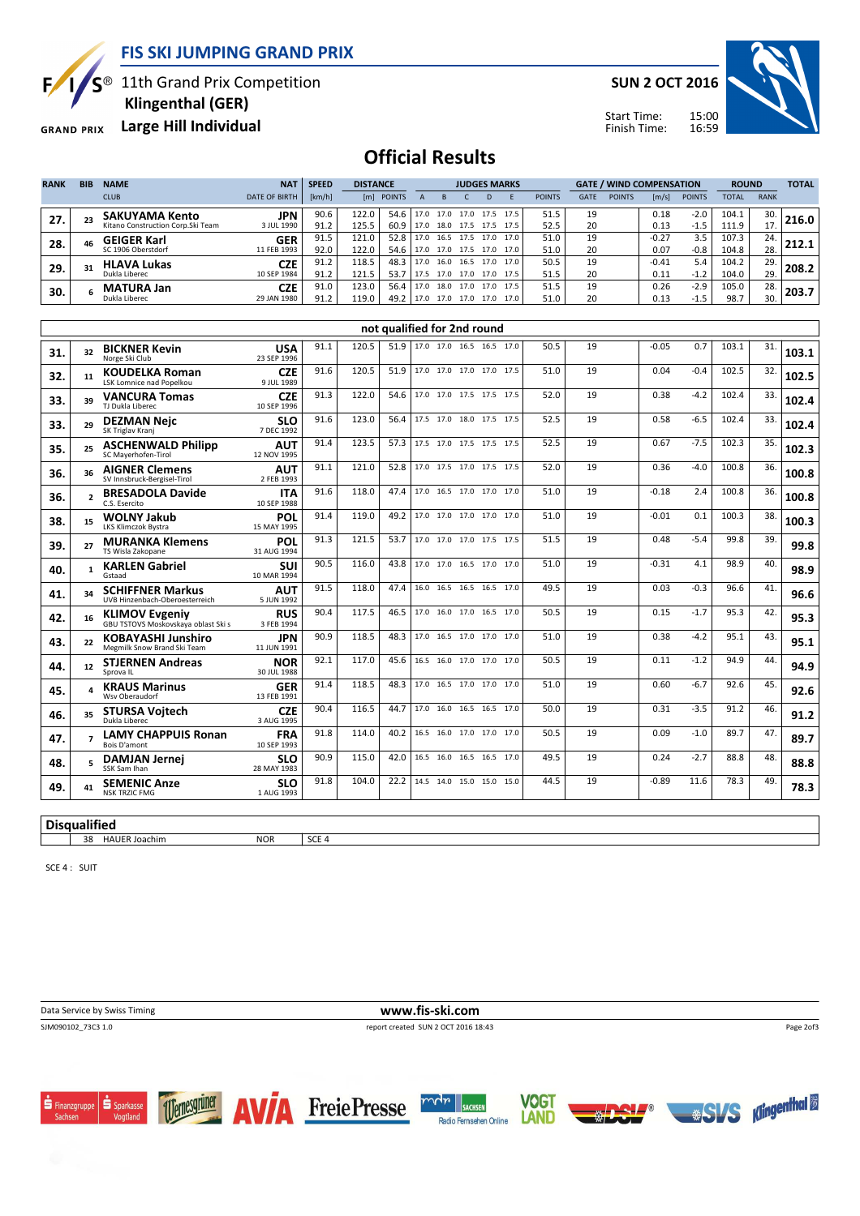

S<sup>®</sup> 11th Grand Prix Competition

Klingenthal (GER)

**GRAND PRIX** 

E

Large Hill Individual

SUN 2 OCT 2016



Start Time: Finish Time:

## Official Results

| <b>RANK</b> | <b>BIB</b> | <b>NAME</b>                       | <b>NAT</b>           | <b>SPEED</b> |       | <b>DISTANCE</b> |                     |      | <b>JUDGES MARKS</b> |      |      |               |             | <b>GATE / WIND COMPENSATION</b> |         |               | <b>ROUND</b> |             | <b>TOTAL</b> |
|-------------|------------|-----------------------------------|----------------------|--------------|-------|-----------------|---------------------|------|---------------------|------|------|---------------|-------------|---------------------------------|---------|---------------|--------------|-------------|--------------|
|             |            | <b>CLUB</b>                       | <b>DATE OF BIRTH</b> | [km/h]       | [m]   | <b>POINTS</b>   |                     |      |                     | D    | F    | <b>POINTS</b> | <b>GATE</b> | <b>POINTS</b>                   | [m/s]   | <b>POINTS</b> | <b>TOTAL</b> | <b>RANK</b> |              |
| 27.         | 23         | <b>SAKUYAMA Kento</b>             | <b>JPN</b>           | 90.6         | 122.0 | 54.6            | $17.0$ 17.0         |      | 17.0                | 17.5 | 17.5 | 51.5          | 19          |                                 | 0.18    | $-2.0$        | 104.1        | 30.         | 216.0        |
|             |            | Kitano Construction Corp.Ski Team | 3 JUL 1990           | 91.2         | 125.5 | 60.9            | 17.0 18.0 17.5 17.5 |      |                     |      | 17.5 | 52.5          | 20          |                                 | 0.13    | $-1.5$        | 111.9        | 17.         |              |
| 28.         | 46         | <b>GEIGER Karl</b>                | <b>GER</b>           | 91.5         | 121.0 | 52.8            | 17.0                | 16.5 | 17.5                | 17.0 | 17.0 | 51.0          | 19          |                                 | $-0.27$ | 3.5           | 107.3        | 24.         | 212.1        |
|             |            | SC 1906 Oberstdorf                | 11 FEB 1993          | 92.0         | 122.0 | 54.6            | 17.0 17.0 17.5 17.0 |      |                     |      | 17.0 | 51.0          | 20          |                                 | 0.07    | $-0.8$        | 104.8        | 28.         |              |
| 29.         | 31         | <b>HLAVA Lukas</b>                | <b>CZE</b>           | 91.2         | 118.5 | 48.3            | . 17.0              | 16.0 | 16.5                | 17.0 | 17.0 | 50.5          | 19          |                                 | $-0.41$ | 5.4           | 104.2        | 29.         | 208.2        |
|             |            | Dukla Liberec                     | 10 SEP 1984          | 91.2         | 121.5 | 53.7            |                     |      | 17.5 17.0 17.0 17.0 |      | 17.5 | 51.5          | 20          |                                 | 0.11    | $-1.2$        | 104.0        | 29.         |              |
| 30.         |            | <b>MATURA Jan</b>                 | <b>CZE</b>           | 91.0         | 123.0 | 56.4            | 17.0                | 18.0 | 17.0                | 17.0 | 17.5 | 51.5          | 19          |                                 | 0.26    | $-2.9$        | 105.0        | 28.         | 203.7        |
|             |            | Dukla Liberec                     | 29 JAN 1980          | 91.2         | 119.0 | 49.2            | 17.0 17.0 17.0      |      |                     | 17.0 | 17.0 | 51.0          | 20          |                                 | 0.13    | $-1.5$        | 98.7         | 30.         |              |
|             |            |                                   |                      |              |       |                 |                     |      |                     |      |      |               |             |                                 |         |               |              |             |              |

|     | not qualified for 2nd round |                                                                     |                           |      |       |      |                               |                     |  |                          |      |      |    |         |        |       |     |       |
|-----|-----------------------------|---------------------------------------------------------------------|---------------------------|------|-------|------|-------------------------------|---------------------|--|--------------------------|------|------|----|---------|--------|-------|-----|-------|
| 31. | 32                          | <b>BICKNER Kevin</b><br>Norge Ski Club                              | <b>USA</b><br>23 SEP 1996 | 91.1 | 120.5 |      | 51.9 17.0 17.0 16.5 16.5 17.0 |                     |  |                          |      | 50.5 | 19 | $-0.05$ | 0.7    | 103.1 | 31. | 103.1 |
| 32. | 11                          | <b>KOUDELKA Roman</b><br>LSK Lomnice nad Popelkou                   | <b>CZE</b><br>9 JUL 1989  | 91.6 | 120.5 | 51.9 |                               |                     |  | 17.0 17.0 17.0 17.0 17.5 |      | 51.0 | 19 | 0.04    | $-0.4$ | 102.5 | 32. | 102.5 |
| 33. | 39                          | <b>VANCURA Tomas</b><br>TJ Dukla Liberec                            | <b>CZE</b><br>10 SEP 1996 | 91.3 | 122.0 | 54.6 |                               |                     |  | 17.0 17.0 17.5 17.5 17.5 |      | 52.0 | 19 | 0.38    | $-4.2$ | 102.4 | 33. | 102.4 |
| 33. | 29                          | <b>DEZMAN Nejc</b><br>SK Triglav Kranj                              | <b>SLO</b><br>7 DEC 1992  | 91.6 | 123.0 | 56.4 |                               |                     |  | 17.5 17.0 18.0 17.5 17.5 |      | 52.5 | 19 | 0.58    | $-6.5$ | 102.4 | 33. | 102.4 |
| 35. | 25                          | <b>ASCHENWALD Philipp</b><br>SC Maverhofen-Tirol                    | <b>AUT</b><br>12 NOV 1995 | 91.4 | 123.5 | 57.3 |                               |                     |  | 17.5 17.0 17.5 17.5 17.5 |      | 52.5 | 19 | 0.67    | $-7.5$ | 102.3 | 35. | 102.3 |
| 36. | 36                          | <b>AIGNER Clemens</b><br>SV Innsbruck-Bergisel-Tirol                | <b>AUT</b><br>2 FEB 1993  | 91.1 | 121.0 | 52.8 |                               |                     |  | 17.0 17.5 17.0 17.5 17.5 |      | 52.0 | 19 | 0.36    | $-4.0$ | 100.8 | 36. | 100.8 |
| 36. | $\overline{ }$              | <b>BRESADOLA Davide</b><br>C.S. Esercito                            | <b>ITA</b><br>10 SEP 1988 | 91.6 | 118.0 | 47.4 |                               |                     |  | 17.0 16.5 17.0 17.0 17.0 |      | 51.0 | 19 | $-0.18$ | 2.4    | 100.8 | 36. | 100.8 |
| 38. | 15                          | <b>WOLNY Jakub</b><br>LKS Klimczok Bystra                           | POL<br>15 MAY 1995        | 91.4 | 119.0 | 49.2 |                               |                     |  | 17.0 17.0 17.0 17.0 17.0 |      | 51.0 | 19 | $-0.01$ | 0.1    | 100.3 | 38. | 100.3 |
| 39. | 27                          | <b>MURANKA Klemens</b><br>TS Wisla Zakopane                         | POL<br>31 AUG 1994        | 91.3 | 121.5 | 53.7 |                               |                     |  | 17.0 17.0 17.0 17.5 17.5 |      | 51.5 | 19 | 0.48    | $-5.4$ | 99.8  | 39. | 99.8  |
| 40. |                             | <b>KARLEN Gabriel</b><br>Gstaad                                     | <b>SUI</b><br>10 MAR 1994 | 90.5 | 116.0 | 43.8 |                               |                     |  | 17.0 17.0 16.5 17.0 17.0 |      | 51.0 | 19 | $-0.31$ | 4.1    | 98.9  | 40. | 98.9  |
| 41. | 34                          | <b>SCHIFFNER Markus</b><br>UVB Hinzenbach-Oberoesterreich           | <b>AUT</b><br>5 JUN 1992  | 91.5 | 118.0 | 47.4 |                               |                     |  | 16.0 16.5 16.5 16.5 17.0 |      | 49.5 | 19 | 0.03    | $-0.3$ | 96.6  | 41. | 96.6  |
| 42. | 16                          | <b>KLIMOV Evgeniy</b><br><b>GBU TSTOVS Moskovskava oblast Ski s</b> | <b>RUS</b><br>3 FEB 1994  | 90.4 | 117.5 | 46.5 |                               |                     |  | 17.0 16.0 17.0 16.5 17.0 |      | 50.5 | 19 | 0.15    | $-1.7$ | 95.3  | 42. | 95.3  |
| 43. | 22                          | <b>KOBAYASHI Junshiro</b><br>Megmilk Snow Brand Ski Team            | <b>JPN</b><br>11 JUN 1991 | 90.9 | 118.5 | 48.3 |                               |                     |  | 17.0 16.5 17.0 17.0 17.0 |      | 51.0 | 19 | 0.38    | $-4.2$ | 95.1  | 43. | 95.1  |
| 44. | 12                          | <b>STJERNEN Andreas</b><br>Sprova IL                                | <b>NOR</b><br>30 JUL 1988 | 92.1 | 117.0 | 45.6 |                               |                     |  | 16.5 16.0 17.0 17.0 17.0 |      | 50.5 | 19 | 0.11    | $-1.2$ | 94.9  | 44. | 94.9  |
| 45. |                             | <b>KRAUS Marinus</b><br>Wsv Oberaudorf                              | <b>GER</b><br>13 FEB 1991 | 91.4 | 118.5 | 48.3 |                               | 17.0 16.5 17.0 17.0 |  |                          | 17.0 | 51.0 | 19 | 0.60    | $-6.7$ | 92.6  | 45. | 92.6  |
| 46. | 35                          | <b>STURSA Voitech</b><br>Dukla Liberec                              | <b>CZE</b><br>3 AUG 1995  | 90.4 | 116.5 | 44.7 |                               |                     |  | 17.0 16.0 16.5 16.5 17.0 |      | 50.0 | 19 | 0.31    | $-3.5$ | 91.2  | 46. | 91.2  |
| 47. |                             | <b>LAMY CHAPPUIS Ronan</b><br>Bois D'amont                          | <b>FRA</b><br>10 SEP 1993 | 91.8 | 114.0 | 40.2 |                               |                     |  | 16.5 16.0 17.0 17.0 17.0 |      | 50.5 | 19 | 0.09    | $-1.0$ | 89.7  | 47. | 89.7  |
| 48. |                             | <b>DAMJAN Jernei</b><br>SSK Sam Ihan                                | <b>SLO</b><br>28 MAY 1983 | 90.9 | 115.0 | 42.0 |                               |                     |  | 16.5 16.0 16.5 16.5 17.0 |      | 49.5 | 19 | 0.24    | $-2.7$ | 88.8  | 48. | 88.8  |
| 49. | 41                          | <b>SEMENIC Anze</b><br><b>NSK TRZIC FMG</b>                         | <b>SLO</b><br>1 AUG 1993  | 91.8 | 104.0 | 22.2 |                               |                     |  | 14.5 14.0 15.0 15.0 15.0 |      | 44.5 | 19 | $-0.89$ | 11.6   | 78.3  | 49. | 78.3  |
|     |                             |                                                                     |                           |      |       |      |                               |                     |  |                          |      |      |    |         |        |       |     |       |

#### **Disqualified** 38 HAUER Joachim NOR SCE 4

SCE 4 : SUIT

Data Service by Swiss Timing **www.fis-ski.com**<br>
SIM090102\_73C3 1.0<br>
Feport created SUN 2 OCT 2016 18 report created SUN 2 OCT 2016 18:43

Page 2of3